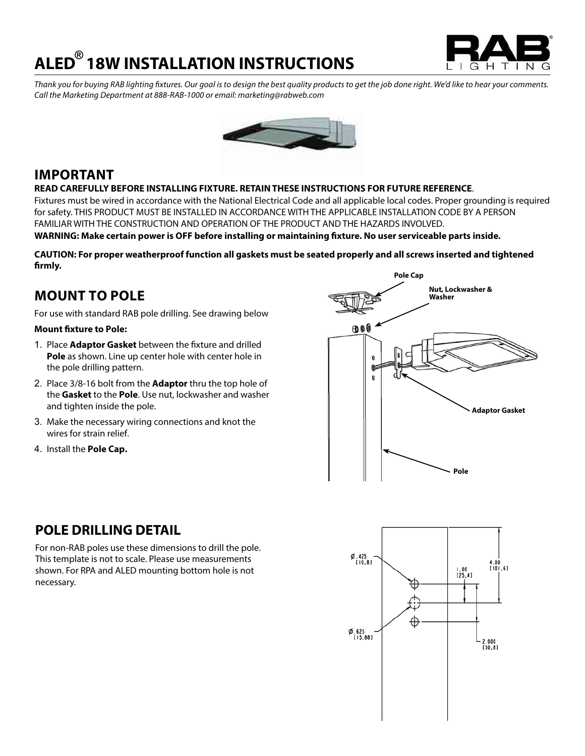## **ALED 18W INSTALLATION INSTRUCTIONS ®**



*Thank you for buying RAB lighting fixtures. Our goal is to design the best quality products to get the job done right. We'd like to hear your comments. Call the Marketing Department at 888-RAB-1000 or email: marketing@rabweb.com*



### **IMPORTANT**

### **READ CAREFULLY BEFORE INSTALLING FIXTURE. RETAIN THESE INSTRUCTIONS FOR FUTURE REFERENCE**.

Fixtures must be wired in accordance with the National Electrical Code and all applicable local codes. Proper grounding is required for safety. THIS PRODUCT MUST BE INSTALLED IN ACCORDANCE WITH THE APPLICABLE INSTALLATION CODE BY A PERSON FAMILIAR WITH THE CONSTRUCTION AND OPERATION OF THE PRODUCT AND THE HAZARDS INVOLVED.

**WARNING: Make certain power is OFF before installing or maintaining fixture. No user serviceable parts inside.**

**CAUTION: For proper weatherproof function all gaskets must be seated properly and all screws inserted and tightened firmly.**

### **MOUNT TO POLE**

For use with standard RAB pole drilling. See drawing below

#### **Mount fixture to Pole:**

- 1. Place **Adaptor Gasket** between the fixture and drilled **Pole** as shown. Line up center hole with center hole in the pole drilling pattern.
- 2. Place 3/8-16 bolt from the **Adaptor** thru the top hole of the **Gasket** to the **Pole**. Use nut, lockwasher and washer and tighten inside the pole.
- 3. Make the necessary wiring connections and knot the wires for strain relief.
- 4. Install the **Pole Cap.**



# $\emptyset$ , 425<br>[10,8] 4.00<br>[101,6]  $\frac{1.00}{25.41}$ Ø.625<br>[15,88] 2.000  $150.81$

### **POLE DRILLING DETAIL**

For non-RAB poles use these dimensions to drill the pole. This template is not to scale. Please use measurements shown. For RPA and ALED mounting bottom hole is not necessary.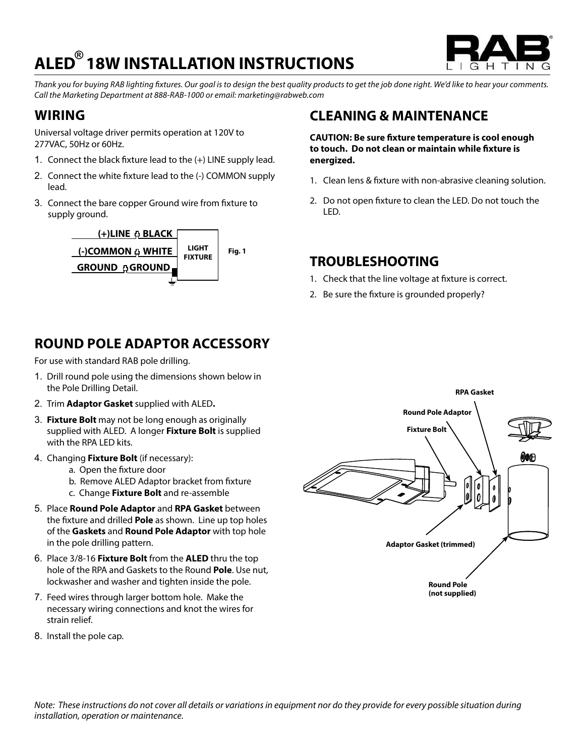# **ALED 18W INSTALLATION INSTRUCTIONS ®**



*Thank you for buying RAB lighting fixtures. Our goal is to design the best quality products to get the job done right. We'd like to hear your comments. Call the Marketing Department at 888-RAB-1000 or email: marketing@rabweb.com*

### **WIRING**

Universal voltage driver permits operation at 120V to 277VAC, 50Hz or 60Hz.

- 1. Connect the black fixture lead to the (+) LINE supply lead.
- 2. Connect the white fixture lead to the (-) COMMON supply lead.
- 3. Connect the bare copper Ground wire from fixture to supply ground.



## **ROUND POLE ADAPTOR ACCESSORY**

For use with standard RAB pole drilling.

- 1. Drill round pole using the dimensions shown below in the Pole Drilling Detail.
- 2. Trim **Adaptor Gasket** supplied with ALED**.**
- 3. **Fixture Bolt** may not be long enough as originally supplied with ALED. A longer **Fixture Bolt** is supplied with the RPA LED kits.
- 4. Changing **Fixture Bolt** (if necessary):
	- a. Open the fixture door
	- b. Remove ALED Adaptor bracket from fixture
	- c. Change **Fixture Bolt** and re-assemble
- 5. Place **Round Pole Adaptor** and **RPA Gasket** between the fixture and drilled **Pole** as shown. Line up top holes of the **Gaskets** and **Round Pole Adaptor** with top hole in the pole drilling pattern.
- 6. Place 3/8-16 **Fixture Bolt** from the **ALED** thru the top hole of the RPA and Gaskets to the Round **Pole**. Use nut, lockwasher and washer and tighten inside the pole.
- 7. Feed wires through larger bottom hole. Make the necessary wiring connections and knot the wires for strain relief.
- 8. Install the pole cap.

## **CLEANING & MAINTENANCE**

**CAUTION: Be sure fixture temperature is cool enough to touch. Do not clean or maintain while fixture is energized.**

- 1. Clean lens & fixture with non-abrasive cleaning solution.
- 2. Do not open fixture to clean the LED. Do not touch the LED.

### **TROUBLESHOOTING**

- 1. Check that the line voltage at fixture is correct.
- 2. Be sure the fixture is grounded properly?



*Note: These instructions do not cover all details or variations in equipment nor do they provide for every possible situation during installation, operation or maintenance.*